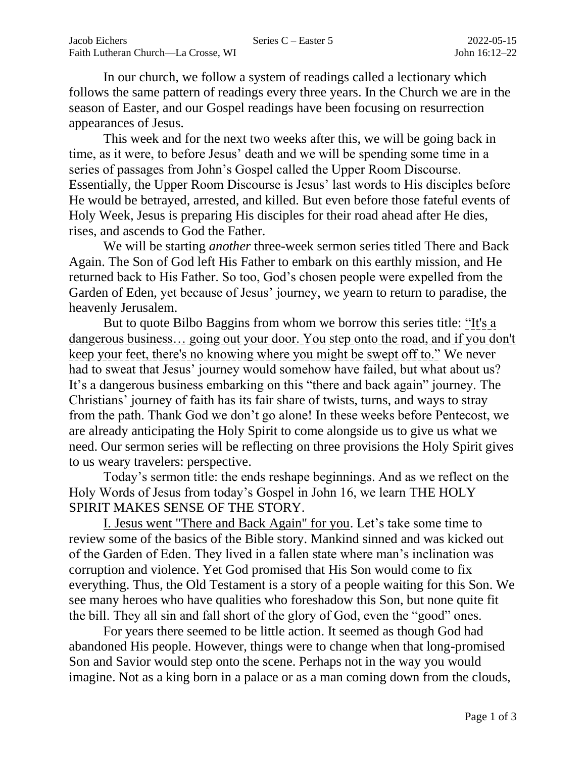In our church, we follow a system of readings called a lectionary which follows the same pattern of readings every three years. In the Church we are in the season of Easter, and our Gospel readings have been focusing on resurrection appearances of Jesus.

This week and for the next two weeks after this, we will be going back in time, as it were, to before Jesus' death and we will be spending some time in a series of passages from John's Gospel called the Upper Room Discourse. Essentially, the Upper Room Discourse is Jesus' last words to His disciples before He would be betrayed, arrested, and killed. But even before those fateful events of Holy Week, Jesus is preparing His disciples for their road ahead after He dies, rises, and ascends to God the Father.

We will be starting *another* three-week sermon series titled There and Back Again. The Son of God left His Father to embark on this earthly mission, and He returned back to His Father. So too, God's chosen people were expelled from the Garden of Eden, yet because of Jesus' journey, we yearn to return to paradise, the heavenly Jerusalem.

But to quote Bilbo Baggins from whom we borrow this series title: "It's a dangerous business… going out your door. You step onto the road, and if you don't keep your feet, there's no knowing where you might be swept off to." We never had to sweat that Jesus' journey would somehow have failed, but what about us? It's a dangerous business embarking on this "there and back again" journey. The Christians' journey of faith has its fair share of twists, turns, and ways to stray from the path. Thank God we don't go alone! In these weeks before Pentecost, we are already anticipating the Holy Spirit to come alongside us to give us what we need. Our sermon series will be reflecting on three provisions the Holy Spirit gives to us weary travelers: perspective.

Today's sermon title: the ends reshape beginnings. And as we reflect on the Holy Words of Jesus from today's Gospel in John 16, we learn THE HOLY SPIRIT MAKES SENSE OF THE STORY.

I. Jesus went "There and Back Again" for you. Let's take some time to review some of the basics of the Bible story. Mankind sinned and was kicked out of the Garden of Eden. They lived in a fallen state where man's inclination was corruption and violence. Yet God promised that His Son would come to fix everything. Thus, the Old Testament is a story of a people waiting for this Son. We see many heroes who have qualities who foreshadow this Son, but none quite fit the bill. They all sin and fall short of the glory of God, even the "good" ones.

For years there seemed to be little action. It seemed as though God had abandoned His people. However, things were to change when that long-promised Son and Savior would step onto the scene. Perhaps not in the way you would imagine. Not as a king born in a palace or as a man coming down from the clouds,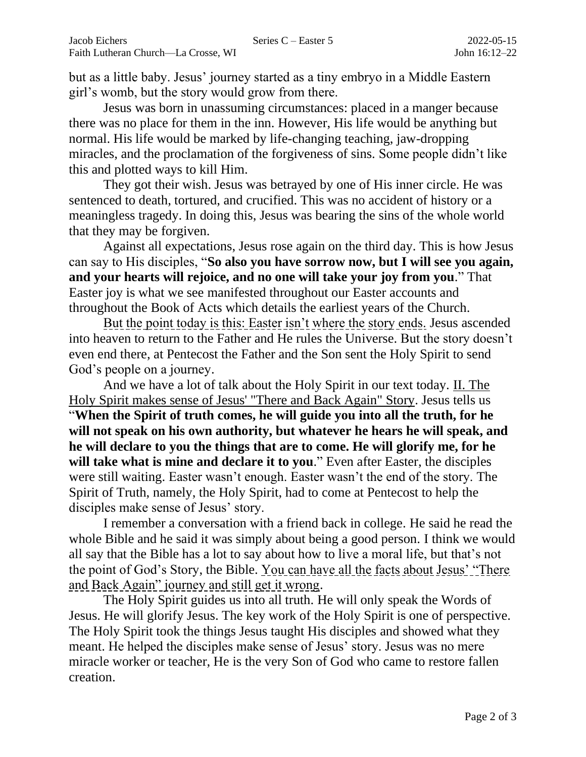but as a little baby. Jesus' journey started as a tiny embryo in a Middle Eastern girl's womb, but the story would grow from there.

Jesus was born in unassuming circumstances: placed in a manger because there was no place for them in the inn. However, His life would be anything but normal. His life would be marked by life-changing teaching, jaw-dropping miracles, and the proclamation of the forgiveness of sins. Some people didn't like this and plotted ways to kill Him.

They got their wish. Jesus was betrayed by one of His inner circle. He was sentenced to death, tortured, and crucified. This was no accident of history or a meaningless tragedy. In doing this, Jesus was bearing the sins of the whole world that they may be forgiven.

Against all expectations, Jesus rose again on the third day. This is how Jesus can say to His disciples, "**So also you have sorrow now, but I will see you again, and your hearts will rejoice, and no one will take your joy from you**." That Easter joy is what we see manifested throughout our Easter accounts and throughout the Book of Acts which details the earliest years of the Church.

But the point today is this: Easter isn't where the story ends. Jesus ascended into heaven to return to the Father and He rules the Universe. But the story doesn't even end there, at Pentecost the Father and the Son sent the Holy Spirit to send God's people on a journey.

And we have a lot of talk about the Holy Spirit in our text today. II. The Holy Spirit makes sense of Jesus' "There and Back Again" Story. Jesus tells us "**When the Spirit of truth comes, he will guide you into all the truth, for he will not speak on his own authority, but whatever he hears he will speak, and he will declare to you the things that are to come. He will glorify me, for he will take what is mine and declare it to you**." Even after Easter, the disciples were still waiting. Easter wasn't enough. Easter wasn't the end of the story. The Spirit of Truth, namely, the Holy Spirit, had to come at Pentecost to help the disciples make sense of Jesus' story.

I remember a conversation with a friend back in college. He said he read the whole Bible and he said it was simply about being a good person. I think we would all say that the Bible has a lot to say about how to live a moral life, but that's not the point of God's Story, the Bible. You can have all the facts about Jesus' "There and Back Again" journey and still get it wrong.

The Holy Spirit guides us into all truth. He will only speak the Words of Jesus. He will glorify Jesus. The key work of the Holy Spirit is one of perspective. The Holy Spirit took the things Jesus taught His disciples and showed what they meant. He helped the disciples make sense of Jesus' story. Jesus was no mere miracle worker or teacher, He is the very Son of God who came to restore fallen creation.